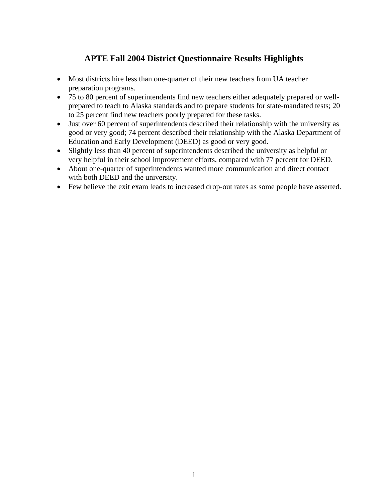## **APTE Fall 2004 District Questionnaire Results Highlights**

- Most districts hire less than one-quarter of their new teachers from UA teacher preparation programs.
- 75 to 80 percent of superintendents find new teachers either adequately prepared or wellprepared to teach to Alaska standards and to prepare students for state-mandated tests; 20 to 25 percent find new teachers poorly prepared for these tasks.
- Just over 60 percent of superintendents described their relationship with the university as good or very good; 74 percent described their relationship with the Alaska Department of Education and Early Development (DEED) as good or very good.
- Slightly less than 40 percent of superintendents described the university as helpful or very helpful in their school improvement efforts, compared with 77 percent for DEED.
- About one-quarter of superintendents wanted more communication and direct contact with both DEED and the university.
- Few believe the exit exam leads to increased drop-out rates as some people have asserted.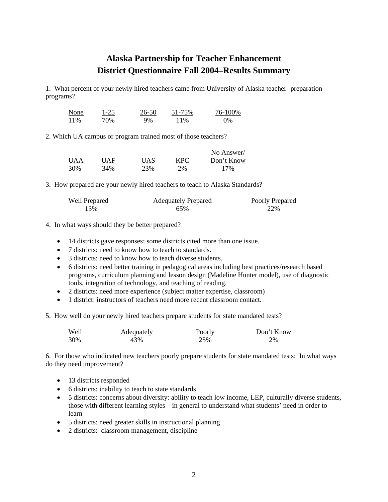## **Alaska Partnership for Teacher Enhancement District Questionnaire Fall 2004–Results Summary**

1. What percent of your newly hired teachers came from University of Alaska teacher- preparation programs?

| None | 1-25 | 26-50 | 51-75% | 76-100% |
|------|------|-------|--------|---------|
| 11%  | 70%  | 9%    | 11%    | 0%      |

2. Which UA campus or program trained most of those teachers?

|            |     |     |     | No Answer/ |
|------------|-----|-----|-----|------------|
| <b>UAA</b> | UAF | UAS | KPC | Don't Know |
| 30%        | 34% | 23% | 2%  | 17%        |

3. How prepared are your newly hired teachers to teach to Alaska Standards?

| Well Prepared | <b>Adequately Prepared</b> | Poorly Prepared |
|---------------|----------------------------|-----------------|
| 13%           | 65%                        | 22%             |

- 4. In what ways should they be better prepared?
	- 14 districts gave responses; some districts cited more than one issue.
	- 7 districts: need to know how to teach to standards.
	- 3 districts: need to know how to teach diverse students.
	- 6 districts: need better training in pedagogical areas including best practices/research based programs, curriculum planning and lesson design (Madeline Hunter model), use of diagnostic tools, integration of technology, and teaching of reading.
	- 2 districts: need more experience (subject matter expertise, classroom)
	- 1 district: instructors of teachers need more recent classroom contact.
- 5. How well do your newly hired teachers prepare students for state mandated tests?

| <u>Well</u> | Adequately | Poorly | Don't Know |
|-------------|------------|--------|------------|
| 30%         | 43%        | 25%    | 2%         |

6. For those who indicated new teachers poorly prepare students for state mandated tests: In what ways do they need improvement?

- 13 districts responded
- 6 districts: inability to teach to state standards
- 5 districts: concerns about diversity: ability to teach low income, LEP, culturally diverse students, those with different learning styles – in general to understand what students' need in order to learn
- 5 districts: need greater skills in instructional planning
- 2 districts: classroom management, discipline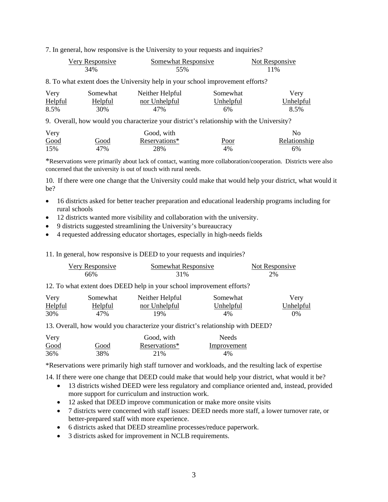7. In general, how responsive is the University to your requests and inquiries?

| Very Responsive | Somewhat Responsive | Not Responsive |
|-----------------|---------------------|----------------|
| 34%             | 55%                 | 11%            |

8. To what extent does the University help in your school improvement efforts?

| Very           | Somewhat | Neither Helpful      | Somewhat         | Very             |
|----------------|----------|----------------------|------------------|------------------|
| <b>Helpful</b> | Helpful  | <u>nor Unhelpful</u> | <u>Unhelpful</u> | <u>Unhelpful</u> |
| 8.5%           | 30%      | 47%                  | 6%               | 8.5%             |

9. Overall, how would you characterize your district's relationship with the University?

| Very |             | Good, with    |             | Nο           |
|------|-------------|---------------|-------------|--------------|
| Good | <u>Good</u> | Reservations* | <u>Poor</u> | Relationship |
| 15%  | 47%         | 28%           | 4%          | 6%           |

\*Reservations were primarily about lack of contact, wanting more collaboration/cooperation. Districts were also concerned that the university is out of touch with rural needs.

10. If there were one change that the University could make that would help your district, what would it be?

- 16 districts asked for better teacher preparation and educational leadership programs including for rural schools
- 12 districts wanted more visibility and collaboration with the university.
- 9 districts suggested streamlining the University's bureaucracy
- 4 requested addressing educator shortages, especially in high-needs fields

11. In general, how responsive is DEED to your requests and inquiries?

| Very Responsive | Somewhat Responsive | Not Responsive |
|-----------------|---------------------|----------------|
| 66%             | 31%                 | 2%             |

12. To what extent does DEED help in your school improvement efforts?

| Very           | Somewhat       | Neither Helpful | Somewhat  | Very      |
|----------------|----------------|-----------------|-----------|-----------|
| <b>Helpful</b> | <u>Helpful</u> | nor Unhelpful   | Unhelpful | Unhelpful |
| 30%            | 47%            | 19%             | 4%        | 0%        |

13. Overall, how would you characterize your district's relationship with DEED?

| Very |      | Good, with    | <b>Needs</b> |
|------|------|---------------|--------------|
| Good | Good | Reservations* | Improvement  |
| 36%  | 38%  | 21\%          | $4\%$        |

\*Reservations were primarily high staff turnover and workloads, and the resulting lack of expertise

14. If there were one change that DEED could make that would help your district, what would it be?

- 13 districts wished DEED were less regulatory and compliance oriented and, instead, provided more support for curriculum and instruction work.
- 12 asked that DEED improve communication or make more onsite visits
- 7 districts were concerned with staff issues: DEED needs more staff, a lower turnover rate, or better-prepared staff with more experience.
- 6 districts asked that DEED streamline processes/reduce paperwork.
- 3 districts asked for improvement in NCLB requirements.